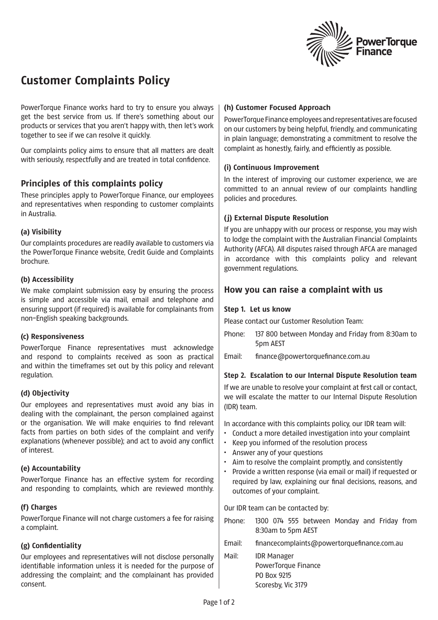

# **Customer Complaints Policy**

PowerTorque Finance works hard to try to ensure you always get the best service from us. If there's something about our products or services that you aren't happy with, then let's work together to see if we can resolve it quickly.

Our complaints policy aims to ensure that all matters are dealt with seriously, respectfully and are treated in total confidence.

# **Principles of this complaints policy**

These principles apply to PowerTorque Finance, our employees and representatives when responding to customer complaints in Australia.

## **(a) Visibility**

Our complaints procedures are readily available to customers via the PowerTorque Finance website, Credit Guide and Complaints brochure.

#### **(b) Accessibility**

We make complaint submission easy by ensuring the process is simple and accessible via mail, email and telephone and ensuring support (if required) is available for complainants from non-English speaking backgrounds.

#### **(c) Responsiveness**

PowerTorque Finance representatives must acknowledge and respond to complaints received as soon as practical and within the timeframes set out by this policy and relevant regulation.

## **(d) Objectivity**

Our employees and representatives must avoid any bias in dealing with the complainant, the person complained against or the organisation. We will make enquiries to find relevant facts from parties on both sides of the complaint and verify explanations (whenever possible); and act to avoid any conflict of interest.

#### **(e) Accountability**

PowerTorque Finance has an effective system for recording and responding to complaints, which are reviewed monthly.

## **(f) Charges**

PowerTorque Finance will not charge customers a fee for raising a complaint.

## **(g) Confidentiality**

Our employees and representatives will not disclose personally identifiable information unless it is needed for the purpose of addressing the complaint; and the complainant has provided consent.

## **(h) Customer Focused Approach**

PowerTorque Finance employees and representatives are focused on our customers by being helpful, friendly, and communicating in plain language; demonstrating a commitment to resolve the complaint as honestly, fairly, and efficiently as possible.

## **(i) Continuous Improvement**

In the interest of improving our customer experience, we are committed to an annual review of our complaints handling policies and procedures.

## **(j) External Dispute Resolution**

If you are unhappy with our process or response, you may wish to lodge the complaint with the Australian Financial Complaints Authority (AFCA). All disputes raised through AFCA are managed in accordance with this complaints policy and relevant government regulations.

# **How you can raise a complaint with us**

#### **Step 1. Let us know**

Please contact our Customer Resolution Team:

- Phone: 137 800 between Monday and Friday from 8:30am to 5pm AEST
- Email: finance@powertorquefinance.com.au

## **Step 2. Escalation to our Internal Dispute Resolution team**

If we are unable to resolve your complaint at first call or contact, we will escalate the matter to our Internal Dispute Resolution (IDR) team.

In accordance with this complaints policy, our IDR team will:

- Conduct a more detailed investigation into your complaint
- Keep you informed of the resolution process
- Answer any of your questions
- Aim to resolve the complaint promptly, and consistently
- Provide a written response (via email or mail) if requested or required by law, explaining our final decisions, reasons, and outcomes of your complaint.

Our IDR team can be contacted by:

- Phone: 1300 074 555 between Monday and Friday from 8:30am to 5pm AEST
- Email: financecomplaints@powertorquefinance.com.au

Mail: IDR Manager PowerTorque Finance PO Box 9215 Scoresby, Vic 3179